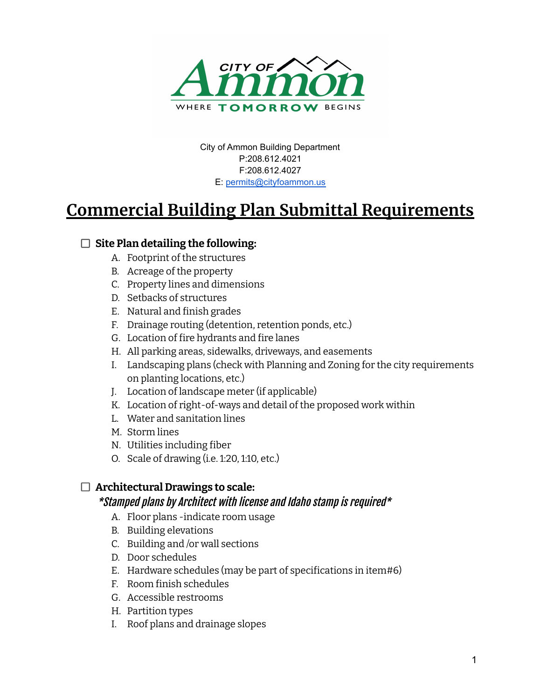

City of Ammon Building Department P:208.612.4021 F:208.612.4027 E: [permits@cityfoammon.us](mailto:permits@cityfoammon.us)

# **Commercial Building Plan Submittal Requirements**

### **Site Plan detailing the following:**

- A. Footprint of the structures
- B. Acreage of the property
- C. Property lines and dimensions
- D. Setbacks of structures
- E. Natural and finish grades
- F. Drainage routing (detention, retention ponds, etc.)
- G. Location of fire hydrants and fire lanes
- H. All parking areas, sidewalks, driveways, and easements
- I. Landscaping plans (check with Planning and Zoning for the city requirements on planting locations, etc.)
- J. Location of landscape meter (if applicable)
- K. Location of right-of-ways and detail of the proposed work within
- L. Water and sanitation lines
- M. Storm lines
- N. Utilities including fiber
- O. Scale of drawing (i.e. 1:20, 1:10, etc.)

#### **Architectural Drawings to scale:**

#### \*Stamped plans by Architect with license and Idaho stamp is required\*

- A. Floor plans -indicate room usage
- B. Building elevations
- C. Building and /or wall sections
- D. Door schedules
- E. Hardware schedules (may be part of specifications in item#6)
- F. Room finish schedules
- G. Accessible restrooms
- H. Partition types
- I. Roof plans and drainage slopes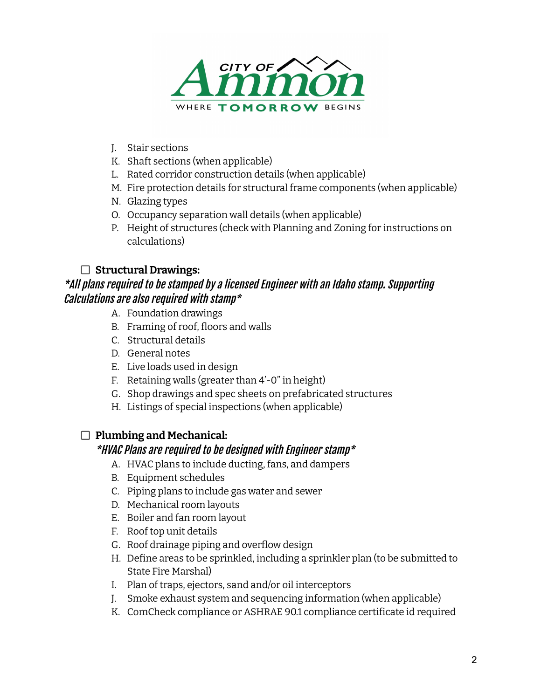

- J. Stair sections
- K. Shaft sections (when applicable)
- L. Rated corridor construction details (when applicable)
- M. Fire protection details for structural frame components (when applicable)
- N. Glazing types
- O. Occupancy separation wall details (when applicable)
- P. Height of structures (check with Planning and Zoning for instructions on calculations)

#### **Structural Drawings:**

## \*All plans required to be stamped by a licensed Engineer with an Idaho stamp. Supporting Calculations are also required with stamp\*

- A. Foundation drawings
- B. Framing of roof, floors and walls
- C. Structural details
- D. General notes
- E. Live loads used in design
- F. Retaining walls (greater than 4'-0" in height)
- G. Shop drawings and spec sheets on prefabricated structures
- H. Listings of special inspections (when applicable)

#### **Plumbing and Mechanical:**

#### \*HVAC Plans are required to be designed with Engineer stamp\*

- A. HVAC plans to include ducting, fans, and dampers
- B. Equipment schedules
- C. Piping plans to include gas water and sewer
- D. Mechanical room layouts
- E. Boiler and fan room layout
- F. Roof top unit details
- G. Roof drainage piping and overflow design
- H. Define areas to be sprinkled, including a sprinkler plan (to be submitted to State Fire Marshal)
- I. Plan of traps, ejectors, sand and/or oil interceptors
- J. Smoke exhaust system and sequencing information (when applicable)
- K. ComCheck compliance or ASHRAE 90.1 compliance certificate id required